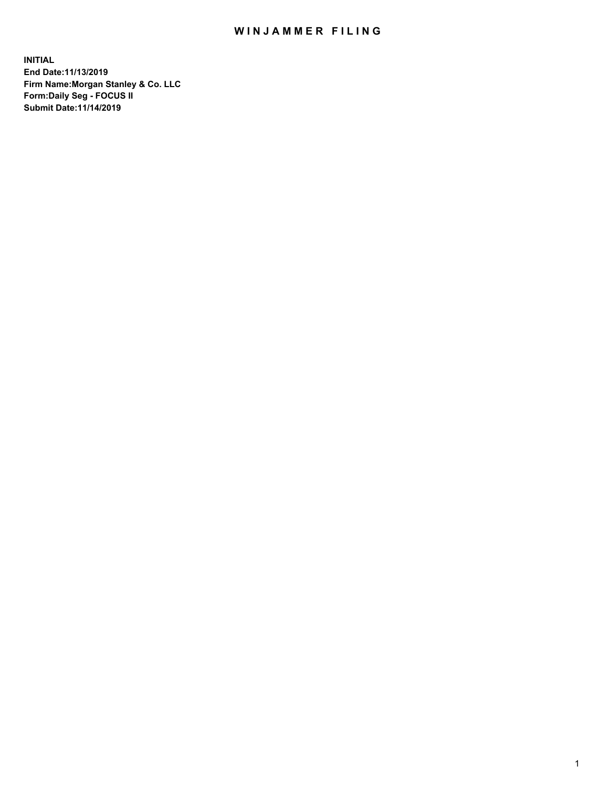## WIN JAMMER FILING

**INITIAL End Date:11/13/2019 Firm Name:Morgan Stanley & Co. LLC Form:Daily Seg - FOCUS II Submit Date:11/14/2019**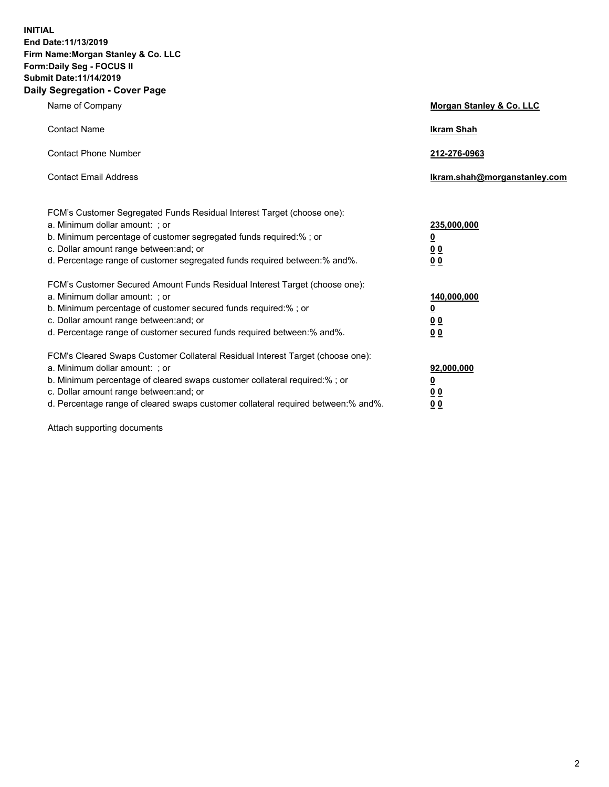**INITIAL End Date:11/13/2019 Firm Name:Morgan Stanley & Co. LLC Form:Daily Seg - FOCUS II Submit Date:11/14/2019 Daily Segregation - Cover Page**

| Name of Company                                                                                                                                                                                                                                                                                                                | Morgan Stanley & Co. LLC                                    |
|--------------------------------------------------------------------------------------------------------------------------------------------------------------------------------------------------------------------------------------------------------------------------------------------------------------------------------|-------------------------------------------------------------|
| <b>Contact Name</b>                                                                                                                                                                                                                                                                                                            | <b>Ikram Shah</b>                                           |
| <b>Contact Phone Number</b>                                                                                                                                                                                                                                                                                                    | 212-276-0963                                                |
| <b>Contact Email Address</b>                                                                                                                                                                                                                                                                                                   | Ikram.shah@morganstanley.com                                |
| FCM's Customer Segregated Funds Residual Interest Target (choose one):<br>a. Minimum dollar amount: ; or<br>b. Minimum percentage of customer segregated funds required:% ; or<br>c. Dollar amount range between: and; or<br>d. Percentage range of customer segregated funds required between:% and%.                         | 235,000,000<br><u>0</u><br>0 <sub>0</sub><br>0 <sub>0</sub> |
| FCM's Customer Secured Amount Funds Residual Interest Target (choose one):<br>a. Minimum dollar amount: ; or<br>b. Minimum percentage of customer secured funds required:%; or<br>c. Dollar amount range between: and; or<br>d. Percentage range of customer secured funds required between:% and%.                            | 140,000,000<br><u>0</u><br>0 <sub>0</sub><br>0 <sub>0</sub> |
| FCM's Cleared Swaps Customer Collateral Residual Interest Target (choose one):<br>a. Minimum dollar amount: ; or<br>b. Minimum percentage of cleared swaps customer collateral required:% ; or<br>c. Dollar amount range between: and; or<br>d. Percentage range of cleared swaps customer collateral required between:% and%. | 92,000,000<br><u>0</u><br><u>00</u><br>0 <sub>0</sub>       |

Attach supporting documents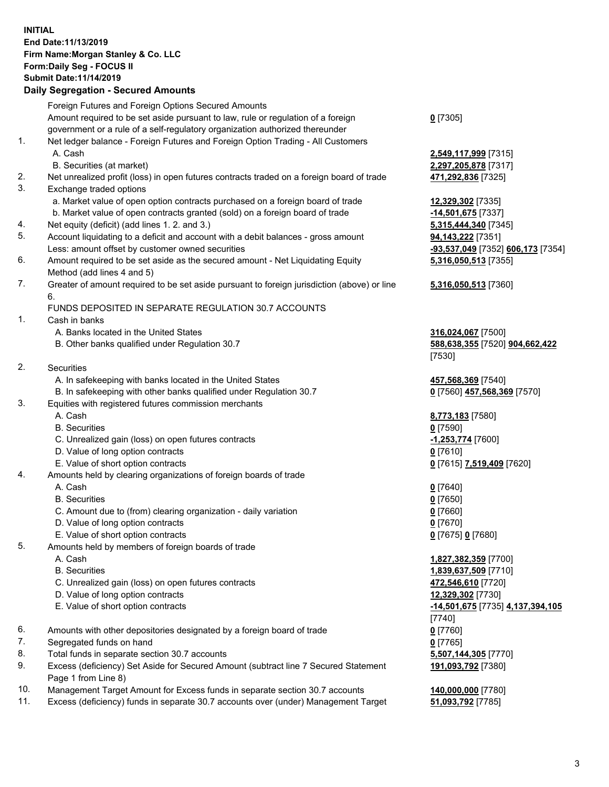## **INITIAL End Date:11/13/2019 Firm Name:Morgan Stanley & Co. LLC Form:Daily Seg - FOCUS II Submit Date:11/14/2019**

## **Daily Segregation - Secured Amounts**

|          | Foreign Futures and Foreign Options Secured Amounts                                                          |                                   |
|----------|--------------------------------------------------------------------------------------------------------------|-----------------------------------|
|          | Amount required to be set aside pursuant to law, rule or regulation of a foreign                             | $0$ [7305]                        |
|          | government or a rule of a self-regulatory organization authorized thereunder                                 |                                   |
| 1.       | Net ledger balance - Foreign Futures and Foreign Option Trading - All Customers                              |                                   |
|          | A. Cash                                                                                                      | 2,549,117,999 [7315]              |
|          | B. Securities (at market)                                                                                    | 2,297,205,878 [7317]              |
| 2.<br>3. | Net unrealized profit (loss) in open futures contracts traded on a foreign board of trade                    | 471,292,836 [7325]                |
|          | Exchange traded options                                                                                      |                                   |
|          | a. Market value of open option contracts purchased on a foreign board of trade                               | 12,329,302 [7335]                 |
|          | b. Market value of open contracts granted (sold) on a foreign board of trade                                 | -14,501,675 [7337]                |
| 4.       | Net equity (deficit) (add lines 1.2. and 3.)                                                                 | 5,315,444,340 [7345]              |
| 5.       | Account liquidating to a deficit and account with a debit balances - gross amount                            | 94,143,222 [7351]                 |
|          | Less: amount offset by customer owned securities                                                             | -93,537,049 [7352] 606,173 [7354] |
| 6.       | Amount required to be set aside as the secured amount - Net Liquidating Equity<br>Method (add lines 4 and 5) | 5,316,050,513 [7355]              |
| 7.       | Greater of amount required to be set aside pursuant to foreign jurisdiction (above) or line                  | 5,316,050,513 [7360]              |
|          | 6.                                                                                                           |                                   |
|          | FUNDS DEPOSITED IN SEPARATE REGULATION 30.7 ACCOUNTS                                                         |                                   |
| 1.       | Cash in banks                                                                                                |                                   |
|          | A. Banks located in the United States                                                                        | 316,024,067 [7500]                |
|          | B. Other banks qualified under Regulation 30.7                                                               | 588,638,355 [7520] 904,662,422    |
|          |                                                                                                              | [7530]                            |
| 2.       | Securities                                                                                                   |                                   |
|          | A. In safekeeping with banks located in the United States                                                    | 457,568,369 [7540]                |
|          | B. In safekeeping with other banks qualified under Regulation 30.7                                           | 0 [7560] 457,568,369 [7570]       |
| 3.       | Equities with registered futures commission merchants                                                        |                                   |
|          | A. Cash                                                                                                      | 8,773,183 [7580]                  |
|          | <b>B.</b> Securities                                                                                         | $0$ [7590]                        |
|          | C. Unrealized gain (loss) on open futures contracts                                                          | -1,253,774 [7600]                 |
|          | D. Value of long option contracts                                                                            | $0$ [7610]                        |
|          | E. Value of short option contracts                                                                           | 0 [7615] 7,519,409 [7620]         |
| 4.       | Amounts held by clearing organizations of foreign boards of trade                                            |                                   |
|          | A. Cash                                                                                                      | $0$ [7640]                        |
|          | <b>B.</b> Securities                                                                                         | $0$ [7650]                        |
|          | C. Amount due to (from) clearing organization - daily variation                                              | $0$ [7660]                        |
|          | D. Value of long option contracts                                                                            | $0$ [7670]                        |
|          | E. Value of short option contracts                                                                           | 0 [7675] 0 [7680]                 |
| 5.       | Amounts held by members of foreign boards of trade                                                           |                                   |
|          | A. Cash                                                                                                      | 1,827,382,359 [7700]              |
|          | <b>B.</b> Securities                                                                                         | 1,839,637,509 [7710]              |
|          | C. Unrealized gain (loss) on open futures contracts                                                          | 472,546,610 [7720]                |
|          | D. Value of long option contracts                                                                            | 12,329,302 [7730]                 |
|          | E. Value of short option contracts                                                                           | -14,501,675 [7735] 4,137,394,105  |
|          |                                                                                                              | [7740]                            |
| 6.       | Amounts with other depositories designated by a foreign board of trade                                       | $0$ [7760]                        |
| 7.       | Segregated funds on hand                                                                                     | $0$ [7765]                        |
| 8.       | Total funds in separate section 30.7 accounts                                                                | 5,507,144,305 [7770]              |
| 9.       | Excess (deficiency) Set Aside for Secured Amount (subtract line 7 Secured Statement                          | 191,093,792 [7380]                |
|          | Page 1 from Line 8)                                                                                          |                                   |
| 10.      | Management Target Amount for Excess funds in separate section 30.7 accounts                                  | 140,000,000 [7780]                |

11. Excess (deficiency) funds in separate 30.7 accounts over (under) Management Target **51,093,792** [7785]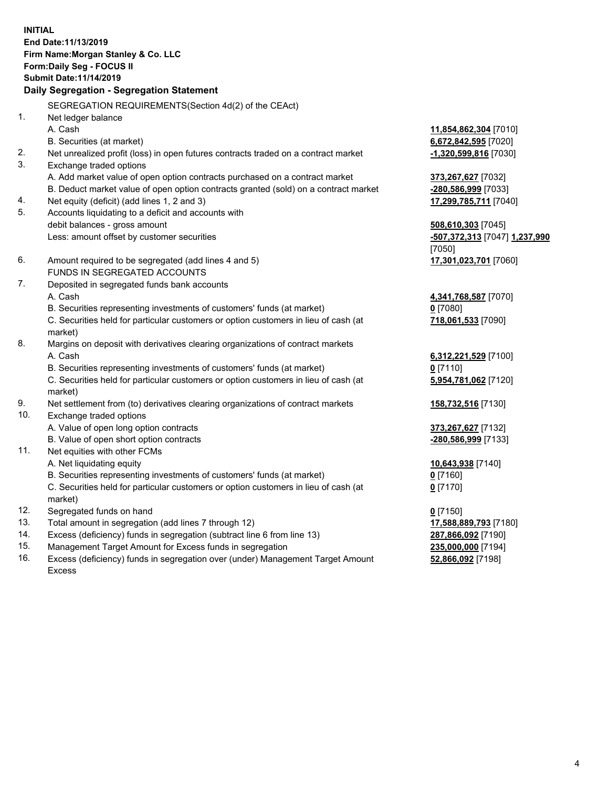**INITIAL End Date:11/13/2019 Firm Name:Morgan Stanley & Co. LLC Form:Daily Seg - FOCUS II Submit Date:11/14/2019 Daily Segregation - Segregation Statement** SEGREGATION REQUIREMENTS(Section 4d(2) of the CEAct) 1. Net ledger balance A. Cash **11,854,862,304** [7010] B. Securities (at market) **6,672,842,595** [7020] 2. Net unrealized profit (loss) in open futures contracts traded on a contract market **-1,320,599,816** [7030] 3. Exchange traded options A. Add market value of open option contracts purchased on a contract market **373,267,627** [7032] B. Deduct market value of open option contracts granted (sold) on a contract market **-280,586,999** [7033] 4. Net equity (deficit) (add lines 1, 2 and 3) **17,299,785,711** [7040] 5. Accounts liquidating to a deficit and accounts with debit balances - gross amount **508,610,303** [7045] Less: amount offset by customer securities **-507,372,313** [7047] **1,237,990** [7050] 6. Amount required to be segregated (add lines 4 and 5) **17,301,023,701** [7060] FUNDS IN SEGREGATED ACCOUNTS 7. Deposited in segregated funds bank accounts A. Cash **4,341,768,587** [7070] B. Securities representing investments of customers' funds (at market) **0** [7080] C. Securities held for particular customers or option customers in lieu of cash (at market) **718,061,533** [7090] 8. Margins on deposit with derivatives clearing organizations of contract markets A. Cash **6,312,221,529** [7100] B. Securities representing investments of customers' funds (at market) **0** [7110] C. Securities held for particular customers or option customers in lieu of cash (at market) **5,954,781,062** [7120] 9. Net settlement from (to) derivatives clearing organizations of contract markets **158,732,516** [7130] 10. Exchange traded options A. Value of open long option contracts **373,267,627** [7132] B. Value of open short option contracts **-280,586,999** [7133] 11. Net equities with other FCMs A. Net liquidating equity **10,643,938** [7140] B. Securities representing investments of customers' funds (at market) **0** [7160] C. Securities held for particular customers or option customers in lieu of cash (at market) **0** [7170] 12. Segregated funds on hand **0** [7150] 13. Total amount in segregation (add lines 7 through 12) **17,588,889,793** [7180] 14. Excess (deficiency) funds in segregation (subtract line 6 from line 13) **287,866,092** [7190]

- 15. Management Target Amount for Excess funds in segregation **235,000,000** [7194]
- 16. Excess (deficiency) funds in segregation over (under) Management Target Amount Excess

**52,866,092** [7198]